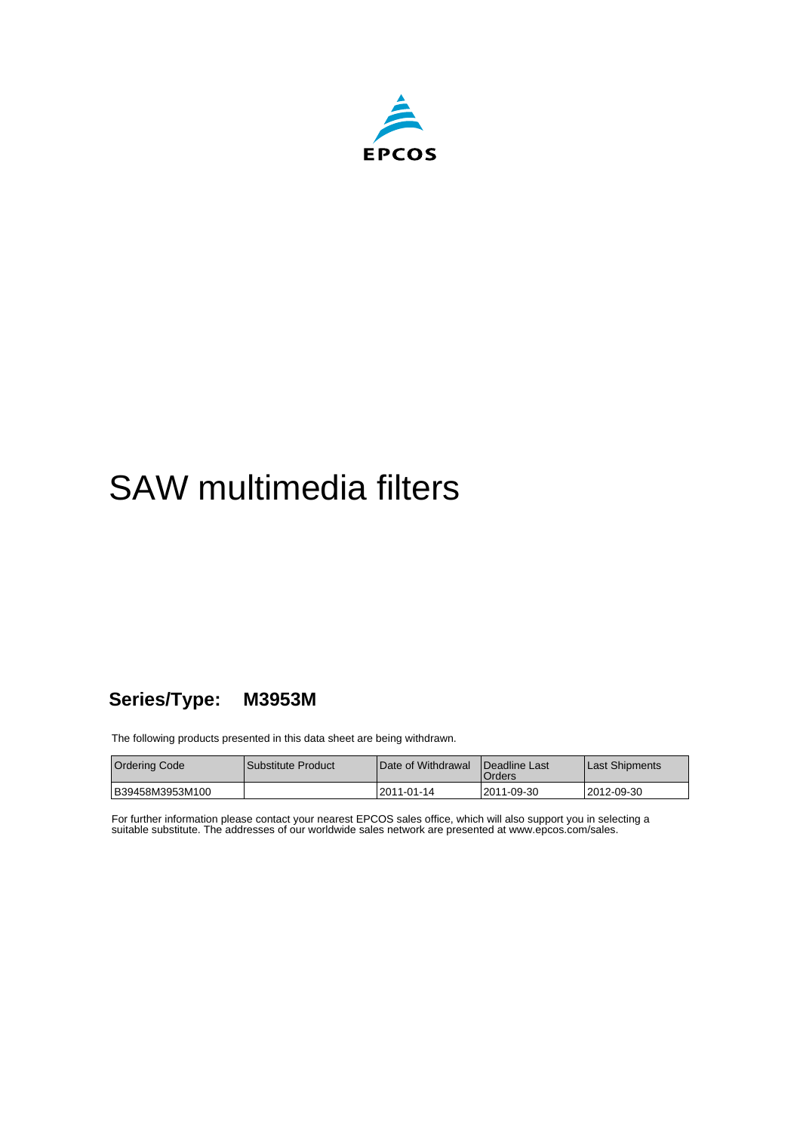

# SAW multimedia filters

### **Series/Type: M3953M**

The following products presented in this data sheet are being withdrawn.

| Ordering Code   | l Substitute Product | Date of Withdrawal | <b>IDeadline Last</b><br><b>Orders</b> | Last Shipments |
|-----------------|----------------------|--------------------|----------------------------------------|----------------|
| B39458M3953M100 |                      | 12011-01-14        | 12011-09-30                            | !2012-09-30    |

For further information please contact your nearest EPCOS sales office, which will also support you in selecting a suitable substitute. The addresses of our worldwide sales network are presented at www.epcos.com/sales.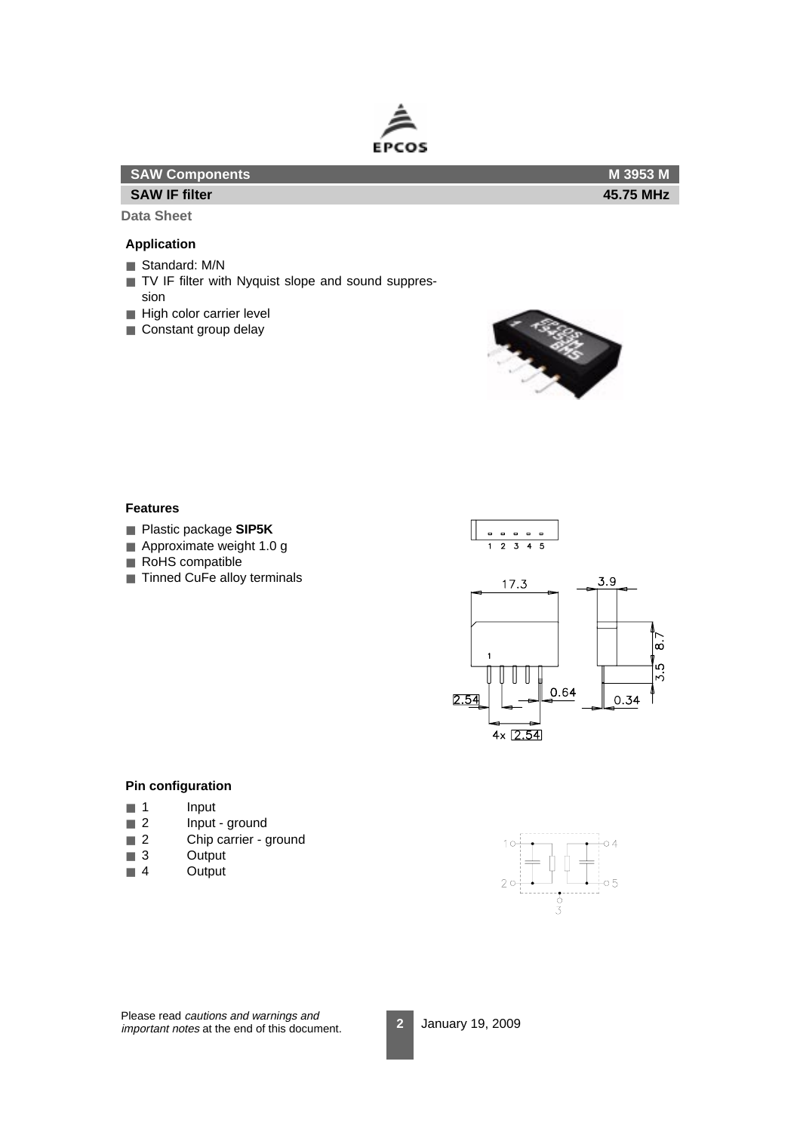

| <b>SAW Components</b> | M 3953 M  |
|-----------------------|-----------|
| <b>SAW IF filter</b>  | 45.75 MHz |
| ___                   |           |

#### **Application**

- Standard: M/N
- TV IF filter with Nyquist slope and sound suppression
- High color carrier level
- Constant group delay



#### **Features**

- Plastic package **SIP5K**
- Approximate weight 1.0 g
- RoHS compatible
- Tinned CuFe alloy terminals





#### **Pin configuration**

- 1 Input
- 2 Input ground
- 2 Chip carrier ground
- 3 Output
- 4 Output



Please read cautions and warnings and important notes at the end of this document.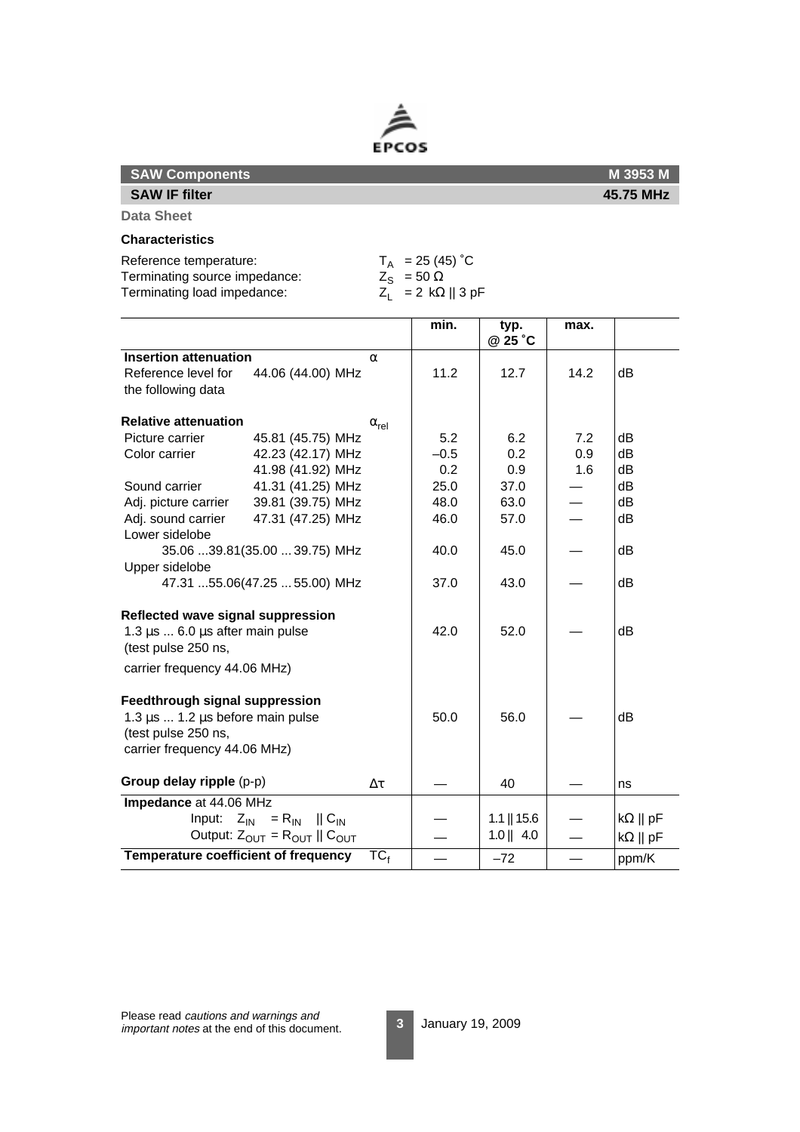

|  |  | <b>SAW Components</b> |
|--|--|-----------------------|
|--|--|-----------------------|

**M 3953 M 45.75 MHz**

**Data Sheet**

#### **Characteristics**

**SAW IF filter**

Terminating source impedance:

Terminating load impedance:

Reference temperature:  $T_A$  = 25 (45) °C<br>
Terminating source impedance:  $Z_S$  = 50  $\Omega$ <br>
Terminating load impedance:  $Z_L$  = 2 k $\Omega$  || 3 pF

|                                                           |                                        |                | min.   | typ.<br>@ 25 °C | max. |                        |
|-----------------------------------------------------------|----------------------------------------|----------------|--------|-----------------|------|------------------------|
| <b>Insertion attenuation</b>                              |                                        | $\alpha$       |        |                 |      |                        |
| Reference level for                                       | 44.06 (44.00) MHz                      |                | 11.2   | 12.7            | 14.2 | dB                     |
| the following data                                        |                                        |                |        |                 |      |                        |
| <b>Relative attenuation</b>                               |                                        | $\alpha_{rel}$ |        |                 |      |                        |
| Picture carrier                                           | 45.81 (45.75) MHz                      |                | 5.2    | 6.2             | 7.2  | dB                     |
| Color carrier                                             | 42.23 (42.17) MHz                      |                | $-0.5$ | 0.2             | 0.9  | dВ                     |
|                                                           | 41.98 (41.92) MHz                      |                | 0.2    | 0.9             | 1.6  | dB                     |
| Sound carrier                                             | 41.31 (41.25) MHz                      |                | 25.0   | 37.0            |      | dB                     |
| Adj. picture carrier                                      | 39.81 (39.75) MHz                      |                | 48.0   | 63.0            |      | dB                     |
| Adj. sound carrier                                        | 47.31 (47.25) MHz                      |                | 46.0   | 57.0            |      | dB                     |
| Lower sidelobe                                            |                                        |                |        |                 |      |                        |
|                                                           | 35.06 39.81(35.00  39.75) MHz          |                | 40.0   | 45.0            |      | dВ                     |
| Upper sidelobe                                            |                                        |                |        |                 |      |                        |
|                                                           | 47.31 55.06(47.25  55.00) MHz          |                | 37.0   | 43.0            |      | dB                     |
| Reflected wave signal suppression                         |                                        |                |        |                 |      |                        |
| 1.3 $\mu$ s  6.0 $\mu$ s after main pulse                 |                                        |                | 42.0   | 52.0            |      | dB                     |
| (test pulse 250 ns,                                       |                                        |                |        |                 |      |                        |
| carrier frequency 44.06 MHz)                              |                                        |                |        |                 |      |                        |
| Feedthrough signal suppression                            |                                        |                |        |                 |      |                        |
| 1.3 $\mu$ s  1.2 $\mu$ s before main pulse                |                                        |                | 50.0   | 56.0            |      | dB                     |
| (test pulse 250 ns,                                       |                                        |                |        |                 |      |                        |
| carrier frequency 44.06 MHz)                              |                                        |                |        |                 |      |                        |
| Group delay ripple (p-p)                                  |                                        | $\Delta \tau$  |        | 40              |      | ns                     |
| Impedance at 44.06 MHz                                    |                                        |                |        |                 |      |                        |
| Input: $Z_{\text{IN}} = R_{\text{IN}}$    $C_{\text{IN}}$ |                                        |                |        | $1.1$   15.6    |      | $k\Omega \parallel pF$ |
|                                                           | Output: $Z_{OUT} = R_{OUT}    C_{OUT}$ |                |        | $1.0$    4.0    |      | $k\Omega \parallel pF$ |
| Temperature coefficient of frequency                      |                                        | $TC_f$         |        | $-72$           |      | ppm/K                  |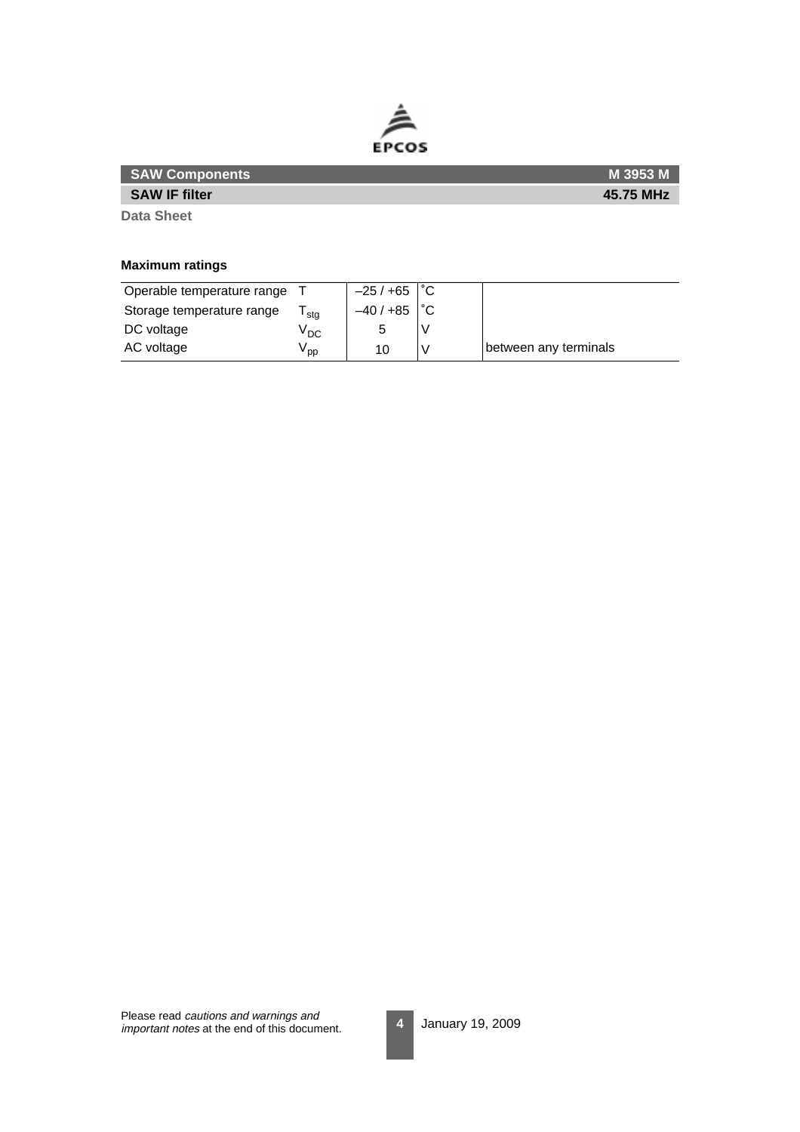

| <b>SAW Components</b> | <b>M 3953 M</b> |
|-----------------------|-----------------|
| <b>SAW IF filter</b>  | 45.75 MHz       |
| <b>Data Sheet</b>     |                 |

**Maximum ratings**

| Operable temperature range |                 | $-25/+65$ $\degree$ C |                       |
|----------------------------|-----------------|-----------------------|-----------------------|
| Storage temperature range  | stg             | $-40/+85$             |                       |
| DC voltage                 | <sup>V</sup> DC |                       |                       |
| AC voltage                 | oo '            | 10                    | between any terminals |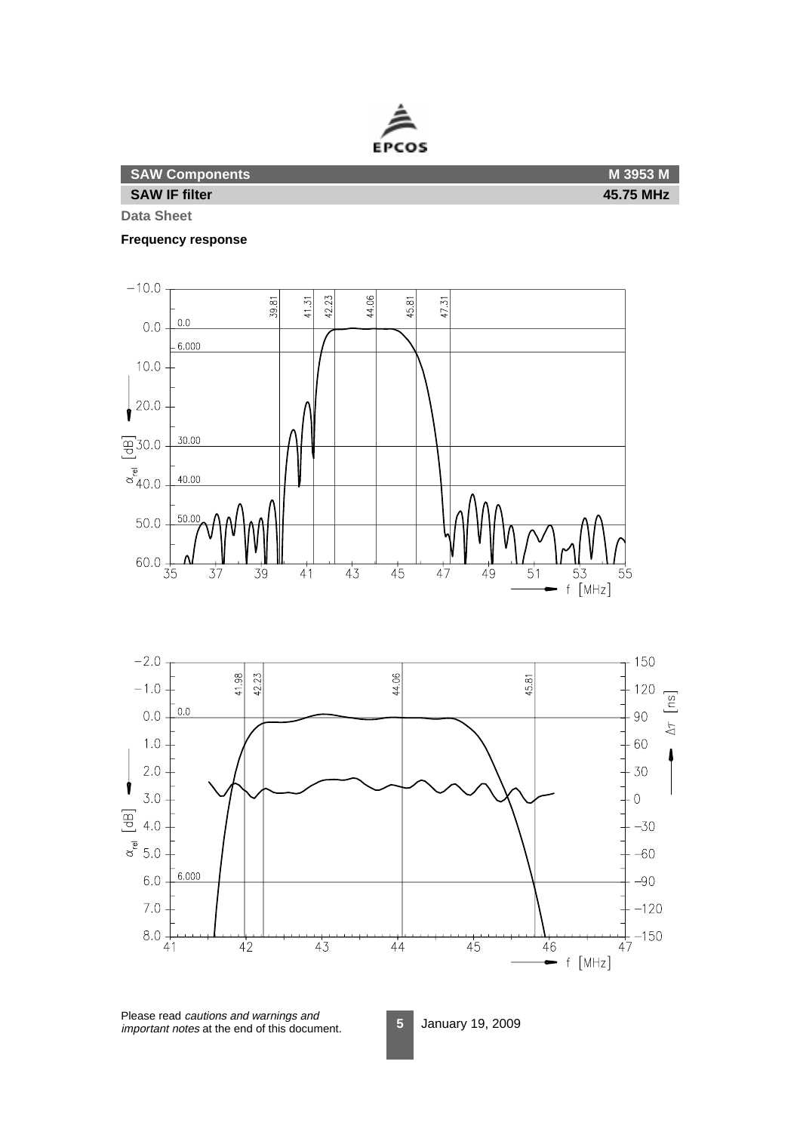

**Frequency response**





Please read cautions and warnings and important notes at the end of this document.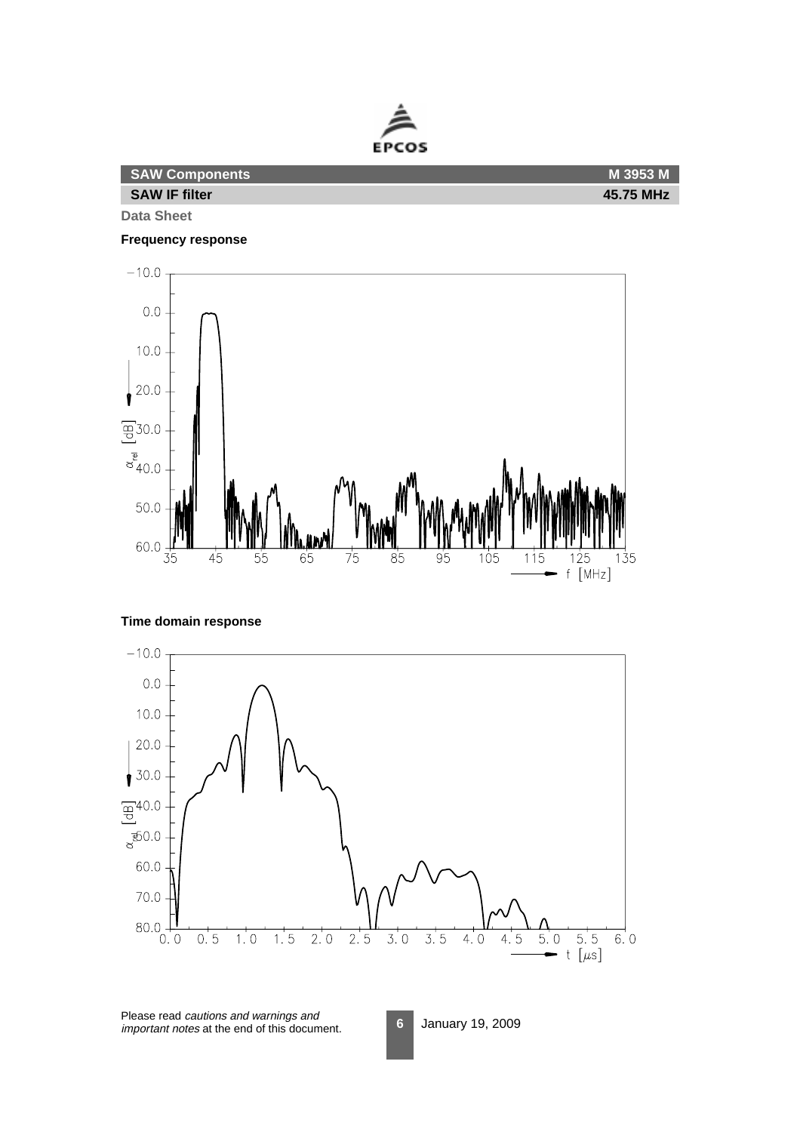

| <b>SAW Components</b> | M 3953 M  |
|-----------------------|-----------|
| <b>SAW IF filter</b>  | 45.75 MHz |
|                       |           |

#### **Frequency response**





**Time domain response**

Please read cautions and warnings and important notes at the end of this document.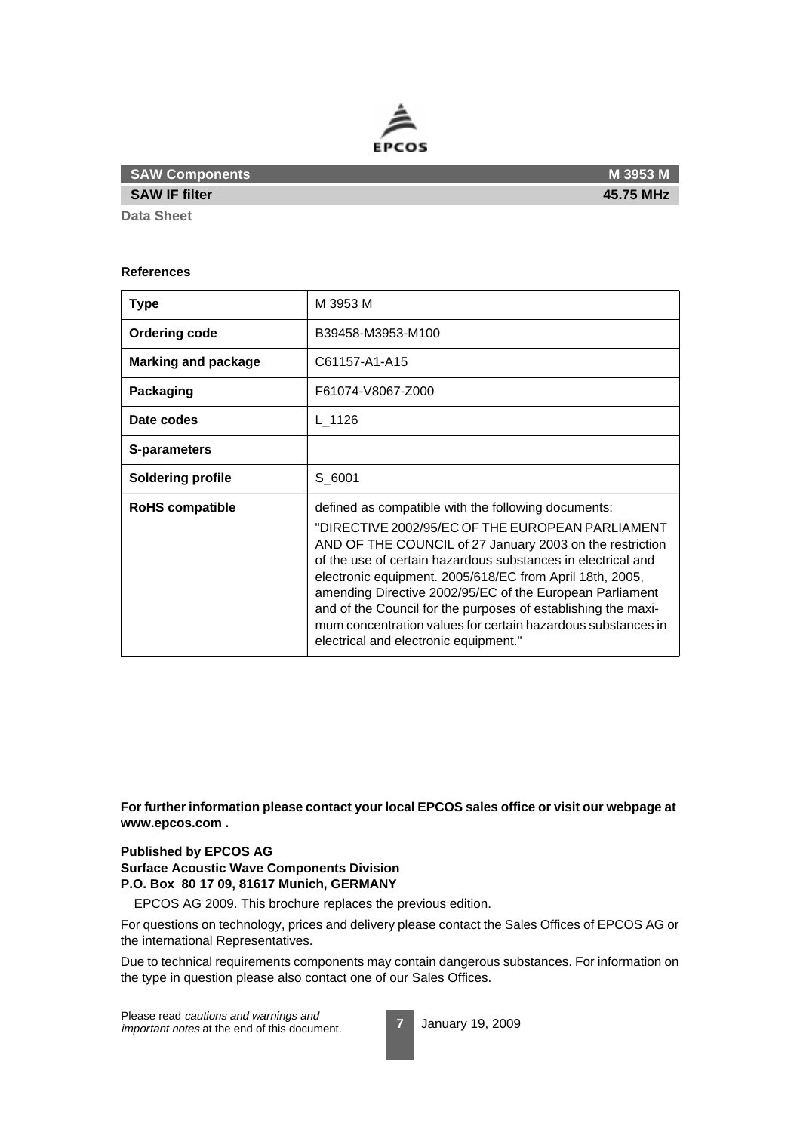

**SAW IF filter**

#### **References**

| <b>Type</b>                | M 3953 M                                                                                                                                                                                                                                                                                                                                                                                                                                                                                                                              |
|----------------------------|---------------------------------------------------------------------------------------------------------------------------------------------------------------------------------------------------------------------------------------------------------------------------------------------------------------------------------------------------------------------------------------------------------------------------------------------------------------------------------------------------------------------------------------|
| <b>Ordering code</b>       | B39458-M3953-M100                                                                                                                                                                                                                                                                                                                                                                                                                                                                                                                     |
| <b>Marking and package</b> | C61157-A1-A15                                                                                                                                                                                                                                                                                                                                                                                                                                                                                                                         |
| Packaging                  | F61074-V8067-Z000                                                                                                                                                                                                                                                                                                                                                                                                                                                                                                                     |
| Date codes                 | L 1126                                                                                                                                                                                                                                                                                                                                                                                                                                                                                                                                |
| S-parameters               |                                                                                                                                                                                                                                                                                                                                                                                                                                                                                                                                       |
| <b>Soldering profile</b>   | S 6001                                                                                                                                                                                                                                                                                                                                                                                                                                                                                                                                |
| <b>RoHS compatible</b>     | defined as compatible with the following documents:<br>"DIRECTIVE 2002/95/EC OF THE EUROPEAN PARLIAMENT<br>AND OF THE COUNCIL of 27 January 2003 on the restriction<br>of the use of certain hazardous substances in electrical and<br>electronic equipment. 2005/618/EC from April 18th, 2005,<br>amending Directive 2002/95/EC of the European Parliament<br>and of the Council for the purposes of establishing the maxi-<br>mum concentration values for certain hazardous substances in<br>electrical and electronic equipment." |

**For further information please contact your local EPCOS sales office or visit our webpage at www.epcos.com .**

#### **Published by EPCOS AG**

**Surface Acoustic Wave Components Division P.O. Box 80 17 09, 81617 Munich, GERMANY**

EPCOS AG 2009. This brochure replaces the previous edition.

For questions on technology, prices and delivery please contact the Sales Offices of EPCOS AG or the international Representatives.

Due to technical requirements components may contain dangerous substances. For information on the type in question please also contact one of our Sales Offices.

Please read cautions and warnings and important notes at the end of this document.

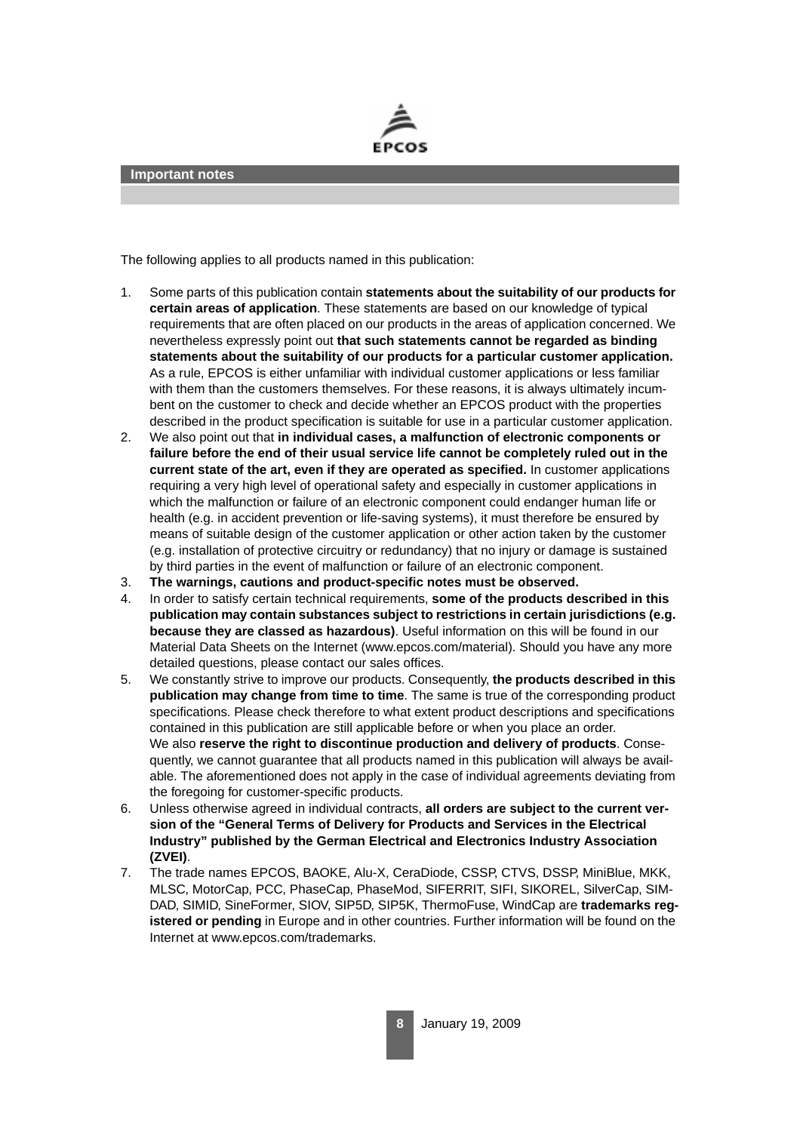

The following applies to all products named in this publication:

- 1. Some parts of this publication contain **statements about the suitability of our products for certain areas of application**. These statements are based on our knowledge of typical requirements that are often placed on our products in the areas of application concerned. We nevertheless expressly point out **that such statements cannot be regarded as binding statements about the suitability of our products for a particular customer application.** As a rule, EPCOS is either unfamiliar with individual customer applications or less familiar with them than the customers themselves. For these reasons, it is always ultimately incumbent on the customer to check and decide whether an EPCOS product with the properties described in the product specification is suitable for use in a particular customer application.
- 2. We also point out that **in individual cases, a malfunction of electronic components or failure before the end of their usual service life cannot be completely ruled out in the current state of the art, even if they are operated as specified.** In customer applications requiring a very high level of operational safety and especially in customer applications in which the malfunction or failure of an electronic component could endanger human life or health (e.g. in accident prevention or life-saving systems), it must therefore be ensured by means of suitable design of the customer application or other action taken by the customer (e.g. installation of protective circuitry or redundancy) that no injury or damage is sustained by third parties in the event of malfunction or failure of an electronic component.
- 3. **The warnings, cautions and product-specific notes must be observed.**
- 4. In order to satisfy certain technical requirements, **some of the products described in this publication may contain substances subject to restrictions in certain jurisdictions (e.g. because they are classed as hazardous)**. Useful information on this will be found in our Material Data Sheets on the Internet (www.epcos.com/material). Should you have any more detailed questions, please contact our sales offices.
- 5. We constantly strive to improve our products. Consequently, **the products described in this publication may change from time to time**. The same is true of the corresponding product specifications. Please check therefore to what extent product descriptions and specifications contained in this publication are still applicable before or when you place an order. We also **reserve the right to discontinue production and delivery of products**. Consequently, we cannot guarantee that all products named in this publication will always be available. The aforementioned does not apply in the case of individual agreements deviating from the foregoing for customer-specific products.
- 6. Unless otherwise agreed in individual contracts, **all orders are subject to the current version of the "General Terms of Delivery for Products and Services in the Electrical Industry" published by the German Electrical and Electronics Industry Association (ZVEI)**.
- 7. The trade names EPCOS, BAOKE, Alu-X, CeraDiode, CSSP, CTVS, DSSP, MiniBlue, MKK, MLSC, MotorCap, PCC, PhaseCap, PhaseMod, SIFERRIT, SIFI, SIKOREL, SilverCap, SIM-DAD, SIMID, SineFormer, SIOV, SIP5D, SIP5K, ThermoFuse, WindCap are **trademarks registered or pending** in Europe and in other countries. Further information will be found on the Internet at www.epcos.com/trademarks.